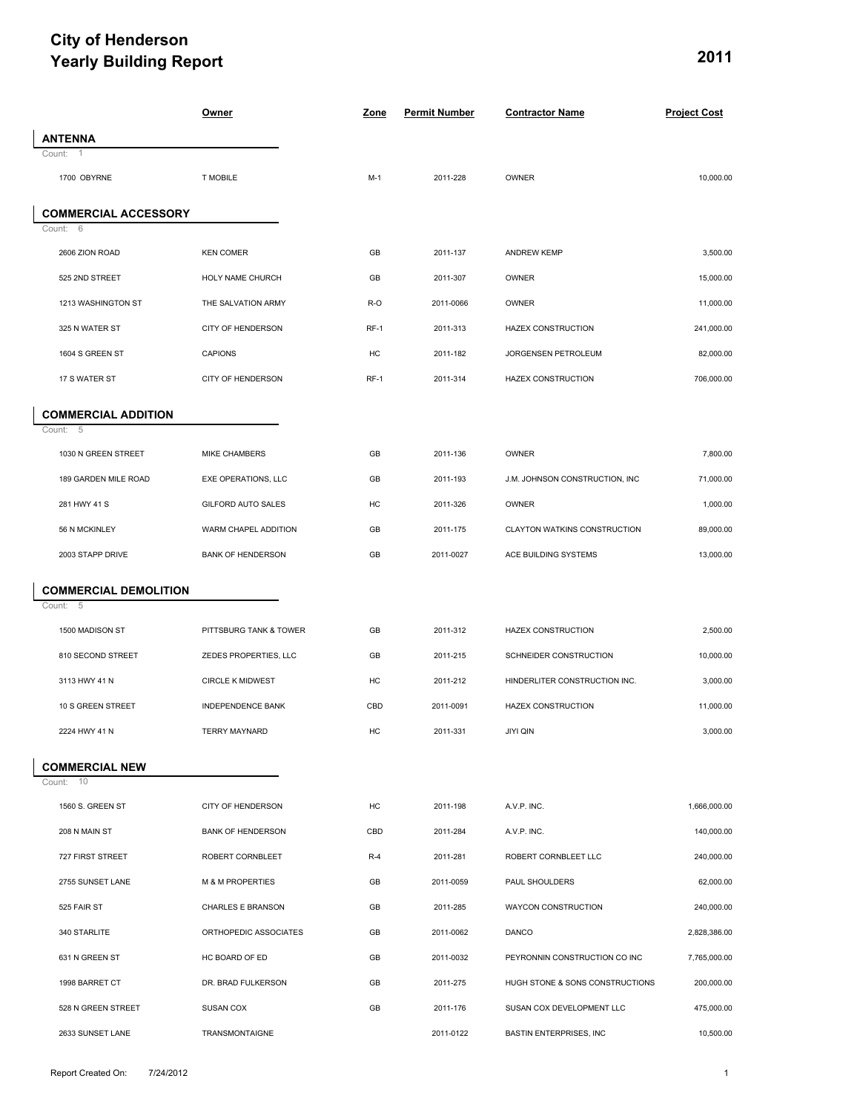## **City of Henderson** *Yearly Building Report* 2011

|                              | Owner                       | Zone   | <b>Permit Number</b> | <b>Contractor Name</b>          | <b>Project Cost</b> |
|------------------------------|-----------------------------|--------|----------------------|---------------------------------|---------------------|
| <b>ANTENNA</b>               |                             |        |                      |                                 |                     |
| Count:                       |                             |        |                      |                                 |                     |
| 1700 OBYRNE                  | <b>T MOBILE</b>             | $M-1$  | 2011-228             | OWNER                           | 10,000.00           |
| <b>COMMERCIAL ACCESSORY</b>  |                             |        |                      |                                 |                     |
| Count: 6                     |                             |        |                      |                                 |                     |
| 2606 ZION ROAD               | <b>KEN COMER</b>            | GB     | 2011-137             | <b>ANDREW KEMP</b>              | 3,500.00            |
| 525 2ND STREET               | HOLY NAME CHURCH            | GB     | 2011-307             | OWNER                           | 15,000.00           |
| 1213 WASHINGTON ST           | THE SALVATION ARMY          | R-O    | 2011-0066            | OWNER                           | 11,000.00           |
| 325 N WATER ST               | CITY OF HENDERSON           | $RF-1$ | 2011-313             | <b>HAZEX CONSTRUCTION</b>       | 241,000.00          |
| 1604 S GREEN ST              | <b>CAPIONS</b>              | HC     | 2011-182             | JORGENSEN PETROLEUM             | 82,000.00           |
| 17 S WATER ST                | CITY OF HENDERSON           | RF-1   | 2011-314             | <b>HAZEX CONSTRUCTION</b>       | 706,000.00          |
| <b>COMMERCIAL ADDITION</b>   |                             |        |                      |                                 |                     |
| Count:<br>- 5                |                             |        |                      |                                 |                     |
| 1030 N GREEN STREET          | MIKE CHAMBERS               | GB     | 2011-136             | OWNER                           | 7,800.00            |
| 189 GARDEN MILE ROAD         | EXE OPERATIONS, LLC         | GB     | 2011-193             | J.M. JOHNSON CONSTRUCTION, INC  | 71,000.00           |
| 281 HWY 41 S                 | GILFORD AUTO SALES          | HC     | 2011-326             | OWNER                           | 1,000.00            |
| 56 N MCKINLEY                | WARM CHAPEL ADDITION        | GB     | 2011-175             | CLAYTON WATKINS CONSTRUCTION    | 89,000.00           |
| 2003 STAPP DRIVE             | <b>BANK OF HENDERSON</b>    | GB     | 2011-0027            | ACE BUILDING SYSTEMS            | 13,000.00           |
| <b>COMMERCIAL DEMOLITION</b> |                             |        |                      |                                 |                     |
| Count: 5                     |                             |        |                      |                                 |                     |
| 1500 MADISON ST              | PITTSBURG TANK & TOWER      | GB     | 2011-312             | <b>HAZEX CONSTRUCTION</b>       | 2,500.00            |
| 810 SECOND STREET            | ZEDES PROPERTIES, LLC       | GB     | 2011-215             | SCHNEIDER CONSTRUCTION          | 10,000.00           |
| 3113 HWY 41 N                | <b>CIRCLE K MIDWEST</b>     | HC     | 2011-212             | HINDERLITER CONSTRUCTION INC.   | 3,000.00            |
| 10 S GREEN STREET            | INDEPENDENCE BANK           | CBD    | 2011-0091            | <b>HAZEX CONSTRUCTION</b>       | 11,000.00           |
| 2224 HWY 41 N                | <b>TERRY MAYNARD</b>        | HC     | 2011-331             | <b>JIYI QIN</b>                 | 3,000.00            |
| <b>COMMERCIAL NEW</b>        |                             |        |                      |                                 |                     |
| Count: 10                    |                             |        |                      |                                 |                     |
| 1560 S. GREEN ST             | CITY OF HENDERSON           | HC     | 2011-198             | A.V.P. INC.                     | 1,666,000.00        |
| 208 N MAIN ST                | <b>BANK OF HENDERSON</b>    | CBD    | 2011-284             | A.V.P. INC.                     | 140,000.00          |
| 727 FIRST STREET             | ROBERT CORNBLEET            | $R-4$  | 2011-281             | ROBERT CORNBLEET LLC            | 240,000.00          |
| 2755 SUNSET LANE             | <b>M &amp; M PROPERTIES</b> | GB     | 2011-0059            | PAUL SHOULDERS                  | 62,000.00           |
| 525 FAIR ST                  | CHARLES E BRANSON           | GB     | 2011-285             | WAYCON CONSTRUCTION             | 240,000.00          |
| 340 STARLITE                 | ORTHOPEDIC ASSOCIATES       | GB     | 2011-0062            | DANCO                           | 2,828,386.00        |
| 631 N GREEN ST               | HC BOARD OF ED              | GB     | 2011-0032            | PEYRONNIN CONSTRUCTION CO INC   | 7,765,000.00        |
| 1998 BARRET CT               | DR. BRAD FULKERSON          | GB     | 2011-275             | HUGH STONE & SONS CONSTRUCTIONS | 200,000.00          |
| 528 N GREEN STREET           | SUSAN COX                   | GB     | 2011-176             | SUSAN COX DEVELOPMENT LLC       | 475,000.00          |
| 2633 SUNSET LANE             | TRANSMONTAIGNE              |        | 2011-0122            | BASTIN ENTERPRISES, INC         | 10,500.00           |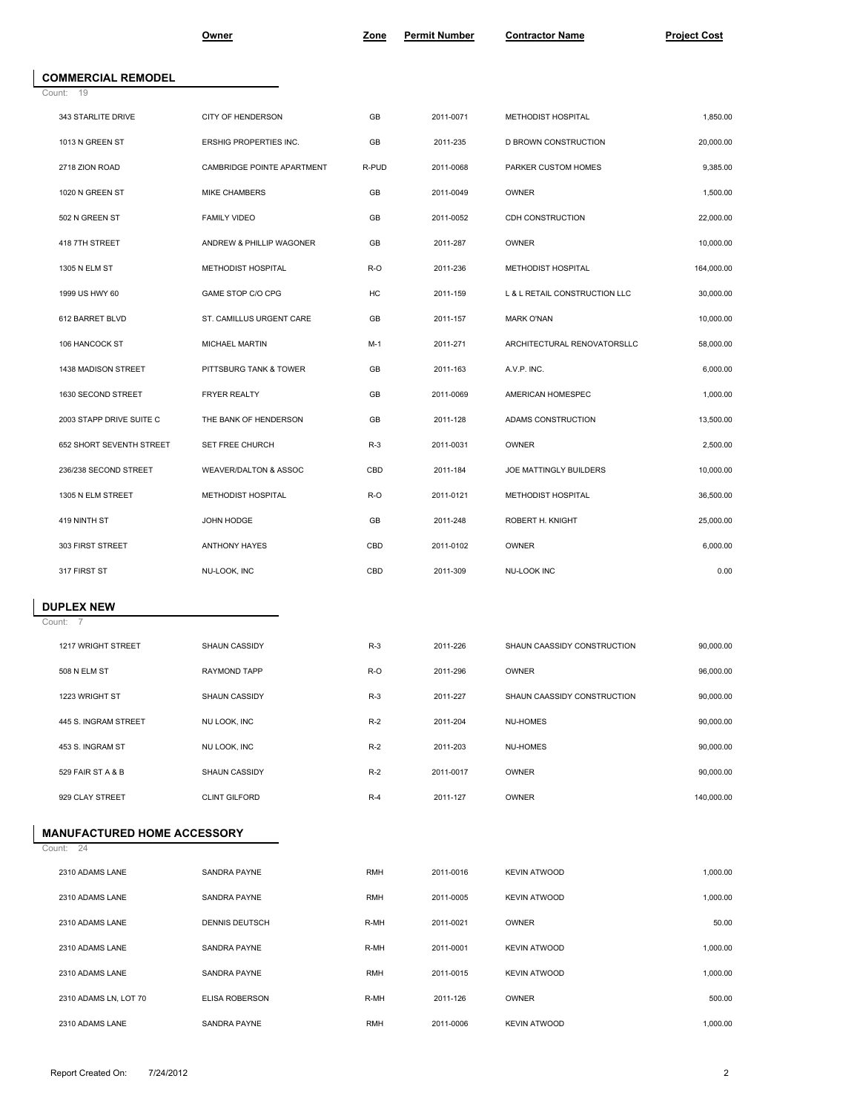|                                        | <u>Owner</u>               | Zone       | <b>Permit Number</b> | <b>Contractor Name</b>        | <b>Project Cost</b> |
|----------------------------------------|----------------------------|------------|----------------------|-------------------------------|---------------------|
|                                        |                            |            |                      |                               |                     |
| <b>COMMERCIAL REMODEL</b><br>Count: 19 |                            |            |                      |                               |                     |
| 343 STARLITE DRIVE                     | CITY OF HENDERSON          | GB         | 2011-0071            | METHODIST HOSPITAL            | 1,850.00            |
| 1013 N GREEN ST                        | ERSHIG PROPERTIES INC.     | GB         | 2011-235             | D BROWN CONSTRUCTION          | 20,000.00           |
| 2718 ZION ROAD                         | CAMBRIDGE POINTE APARTMENT | R-PUD      | 2011-0068            | PARKER CUSTOM HOMES           | 9,385.00            |
| 1020 N GREEN ST                        | MIKE CHAMBERS              | GB         | 2011-0049            | OWNER                         | 1,500.00            |
| 502 N GREEN ST                         | <b>FAMILY VIDEO</b>        | GB         | 2011-0052            | CDH CONSTRUCTION              | 22,000.00           |
| 418 7TH STREET                         | ANDREW & PHILLIP WAGONER   | GB         | 2011-287             | OWNER                         | 10,000.00           |
| 1305 N ELM ST                          | METHODIST HOSPITAL         | R-O        | 2011-236             | METHODIST HOSPITAL            | 164,000.00          |
| 1999 US HWY 60                         | GAME STOP C/O CPG          | HC         | 2011-159             | L & L RETAIL CONSTRUCTION LLC | 30,000.00           |
| 612 BARRET BLVD                        | ST. CAMILLUS URGENT CARE   | GB         | 2011-157             | <b>MARK O'NAN</b>             | 10,000.00           |
| 106 HANCOCK ST                         | MICHAEL MARTIN             | $M-1$      | 2011-271             | ARCHITECTURAL RENOVATORSLLC   | 58,000.00           |
| 1438 MADISON STREET                    | PITTSBURG TANK & TOWER     | GB         | 2011-163             | A.V.P. INC.                   | 6,000.00            |
| 1630 SECOND STREET                     | FRYER REALTY               | GB         | 2011-0069            | AMERICAN HOMESPEC             | 1,000.00            |
| 2003 STAPP DRIVE SUITE C               | THE BANK OF HENDERSON      | GB         | 2011-128             | ADAMS CONSTRUCTION            | 13,500.00           |
| 652 SHORT SEVENTH STREET               | SET FREE CHURCH            | $R-3$      | 2011-0031            | OWNER                         | 2,500.00            |
| 236/238 SECOND STREET                  | WEAVER/DALTON & ASSOC      | CBD        | 2011-184             | JOE MATTINGLY BUILDERS        | 10,000.00           |
| 1305 N ELM STREET                      | METHODIST HOSPITAL         | R-O        | 2011-0121            | METHODIST HOSPITAL            | 36,500.00           |
| 419 NINTH ST                           | JOHN HODGE                 | GB         | 2011-248             | ROBERT H. KNIGHT              | 25,000.00           |
| 303 FIRST STREET                       | ANTHONY HAYES              | CBD        | 2011-0102            | OWNER                         | 6,000.00            |
| 317 FIRST ST                           | NU-LOOK, INC               | CBD        | 2011-309             | NU-LOOK INC                   | 0.00                |
| <b>DUPLEX NEW</b>                      |                            |            |                      |                               |                     |
| Count: 7                               |                            |            |                      |                               |                     |
| 1217 WRIGHT STREET                     | SHAUN CASSIDY              | $R-3$      | 2011-226             | SHAUN CAASSIDY CONSTRUCTION   | 90,000.00           |
| 508 N ELM ST                           | RAYMOND TAPP               | R-O        | 2011-296             | OWNER                         | 96,000.00           |
| 1223 WRIGHT ST                         | SHAUN CASSIDY              | $R-3$      | 2011-227             | SHAUN CAASSIDY CONSTRUCTION   | 90,000.00           |
| 445 S. INGRAM STREET                   | NU LOOK, INC               | $R-2$      | 2011-204             | NU-HOMES                      | 90,000.00           |
| 453 S. INGRAM ST                       | NU LOOK, INC               | $R-2$      | 2011-203             | NU-HOMES                      | 90,000.00           |
| 529 FAIR ST A & B                      | SHAUN CASSIDY              | $R-2$      | 2011-0017            | OWNER                         | 90,000.00           |
| 929 CLAY STREET                        | <b>CLINT GILFORD</b>       | $R-4$      | 2011-127             | OWNER                         | 140,000.00          |
| <b>MANUFACTURED HOME ACCESSORY</b>     |                            |            |                      |                               |                     |
| Count: 24                              |                            |            |                      |                               |                     |
| 2310 ADAMS LANE                        | SANDRA PAYNE               | <b>RMH</b> | 2011-0016            | <b>KEVIN ATWOOD</b>           | 1,000.00            |
| 2310 ADAMS LANE                        | SANDRA PAYNE               | <b>RMH</b> | 2011-0005            | <b>KEVIN ATWOOD</b>           | 1,000.00            |
| 2310 ADAMS LANE                        | DENNIS DEUTSCH             | R-MH       | 2011-0021            | OWNER                         | 50.00               |
| 2310 ADAMS LANE                        | SANDRA PAYNE               | R-MH       | 2011-0001            | <b>KEVIN ATWOOD</b>           | 1,000.00            |
| 2310 ADAMS LANE                        | SANDRA PAYNE               | <b>RMH</b> | 2011-0015            | <b>KEVIN ATWOOD</b>           | 1,000.00            |
| 2310 ADAMS LN, LOT 70                  | ELISA ROBERSON             | R-MH       | 2011-126             | OWNER                         | 500.00              |
| 2310 ADAMS LANE                        | SANDRA PAYNE               | <b>RMH</b> | 2011-0006            | <b>KEVIN ATWOOD</b>           | 1,000.00            |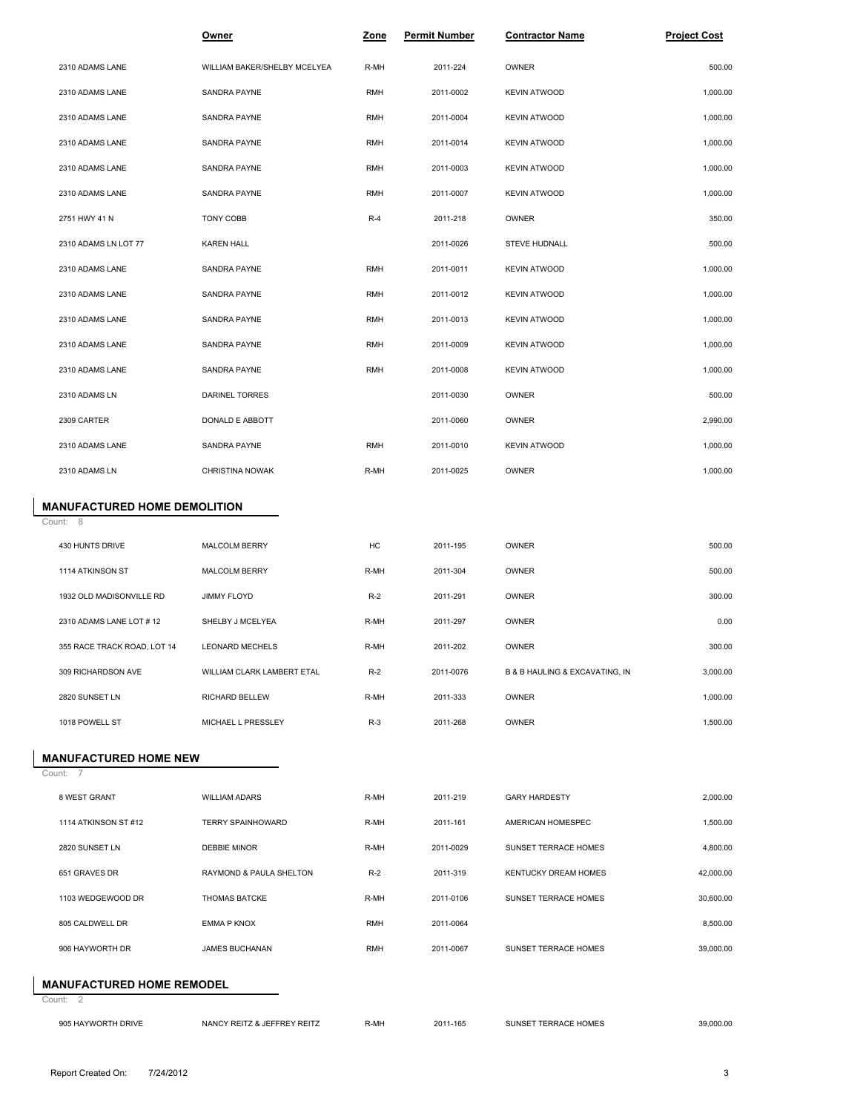|                                     | <b>Owner</b>                 | <u>Zone</u> | <b>Permit Number</b> | <b>Contractor Name</b>         | <b>Project Cost</b> |
|-------------------------------------|------------------------------|-------------|----------------------|--------------------------------|---------------------|
| 2310 ADAMS LANE                     | WILLIAM BAKER/SHELBY MCELYEA | R-MH        | 2011-224             | OWNER                          | 500.00              |
| 2310 ADAMS LANE                     | SANDRA PAYNE                 | <b>RMH</b>  | 2011-0002            | <b>KEVIN ATWOOD</b>            | 1,000.00            |
| 2310 ADAMS LANE                     | SANDRA PAYNE                 | <b>RMH</b>  | 2011-0004            | <b>KEVIN ATWOOD</b>            | 1,000.00            |
| 2310 ADAMS LANE                     | SANDRA PAYNE                 | <b>RMH</b>  | 2011-0014            | <b>KEVIN ATWOOD</b>            | 1,000.00            |
| 2310 ADAMS LANE                     | SANDRA PAYNE                 | <b>RMH</b>  | 2011-0003            | <b>KEVIN ATWOOD</b>            | 1,000.00            |
| 2310 ADAMS LANE                     | SANDRA PAYNE                 | <b>RMH</b>  | 2011-0007            | <b>KEVIN ATWOOD</b>            | 1,000.00            |
| 2751 HWY 41 N                       | <b>TONY COBB</b>             | $R-4$       | 2011-218             | OWNER                          | 350.00              |
| 2310 ADAMS LN LOT 77                | <b>KAREN HALL</b>            |             | 2011-0026            | STEVE HUDNALL                  | 500.00              |
| 2310 ADAMS LANE                     | SANDRA PAYNE                 | <b>RMH</b>  | 2011-0011            | <b>KEVIN ATWOOD</b>            | 1,000.00            |
| 2310 ADAMS LANE                     | SANDRA PAYNE                 | <b>RMH</b>  | 2011-0012            | <b>KEVIN ATWOOD</b>            | 1,000.00            |
| 2310 ADAMS LANE                     | SANDRA PAYNE                 | <b>RMH</b>  | 2011-0013            | <b>KEVIN ATWOOD</b>            | 1,000.00            |
| 2310 ADAMS LANE                     | SANDRA PAYNE                 | <b>RMH</b>  | 2011-0009            | <b>KEVIN ATWOOD</b>            | 1,000.00            |
| 2310 ADAMS LANE                     | SANDRA PAYNE                 | <b>RMH</b>  | 2011-0008            | <b>KEVIN ATWOOD</b>            | 1,000.00            |
| 2310 ADAMS LN                       | <b>DARINEL TORRES</b>        |             | 2011-0030            | OWNER                          | 500.00              |
| 2309 CARTER                         | DONALD E ABBOTT              |             | 2011-0060            | OWNER                          | 2,990.00            |
| 2310 ADAMS LANE                     | SANDRA PAYNE                 | <b>RMH</b>  | 2011-0010            | <b>KEVIN ATWOOD</b>            | 1,000.00            |
| 2310 ADAMS LN                       | CHRISTINA NOWAK              | R-MH        | 2011-0025            | OWNER                          | 1,000.00            |
| <b>MANUFACTURED HOME DEMOLITION</b> |                              |             |                      |                                |                     |
| Count: 8                            |                              |             |                      |                                |                     |
| 430 HUNTS DRIVE                     | MALCOLM BERRY                | HC          | 2011-195             | OWNER                          | 500.00              |
| 1114 ATKINSON ST                    | MALCOLM BERRY                | R-MH        | 2011-304             | OWNER                          | 500.00              |
| 1932 OLD MADISONVILLE RD            | <b>JIMMY FLOYD</b>           | $R-2$       | 2011-291             | OWNER                          | 300.00              |
| 2310 ADAMS LANE LOT #12             | SHELBY J MCELYEA             | R-MH        | 2011-297             | OWNER                          | 0.00                |
| 355 RACE TRACK ROAD, LOT 14         | <b>LEONARD MECHELS</b>       | R-MH        | 2011-202             | OWNER                          | 300.00              |
| 309 RICHARDSON AVE                  | WILLIAM CLARK LAMBERT ETAL   | $R-2$       | 2011-0076            | B & B HAULING & EXCAVATING, IN | 3,000.00            |
| 2820 SUNSET LN                      | RICHARD BELLEW               | R-MH        | 2011-333             | OWNER                          | 1,000.00            |
| 1018 POWELL ST                      | MICHAEL L PRESSLEY           | $R-3$       | 2011-268             | OWNER                          | 1,500.00            |
| <b>MANUFACTURED HOME NEW</b>        |                              |             |                      |                                |                     |
| Count:                              |                              |             |                      |                                |                     |
| 8 WEST GRANT                        | <b>WILLIAM ADARS</b>         | R-MH        | 2011-219             | <b>GARY HARDESTY</b>           | 2,000.00            |
| 1114 ATKINSON ST #12                | <b>TERRY SPAINHOWARD</b>     | R-MH        | 2011-161             | AMERICAN HOMESPEC              | 1,500.00            |
| 2820 SUNSET LN                      | DEBBIE MINOR                 | R-MH        | 2011-0029            | SUNSET TERRACE HOMES           | 4,800.00            |
| 651 GRAVES DR                       | RAYMOND & PAULA SHELTON      | $R-2$       | 2011-319             | KENTUCKY DREAM HOMES           | 42,000.00           |
| 1103 WEDGEWOOD DR                   | <b>THOMAS BATCKE</b>         | R-MH        | 2011-0106            | SUNSET TERRACE HOMES           | 30,600.00           |
| 805 CALDWELL DR                     | EMMA P KNOX                  | <b>RMH</b>  | 2011-0064            |                                | 8,500.00            |
| 906 HAYWORTH DR                     | JAMES BUCHANAN               | <b>RMH</b>  | 2011-0067            | SUNSET TERRACE HOMES           | 39,000.00           |
| <b>MANUFACTURED HOME REMODEL</b>    |                              |             |                      |                                |                     |
| Count: 2                            |                              |             |                      |                                |                     |
| 905 HAYWORTH DRIVE                  | NANCY REITZ & JEFFREY REITZ  | R-MH        | 2011-165             | SUNSET TERRACE HOMES           | 39,000.00           |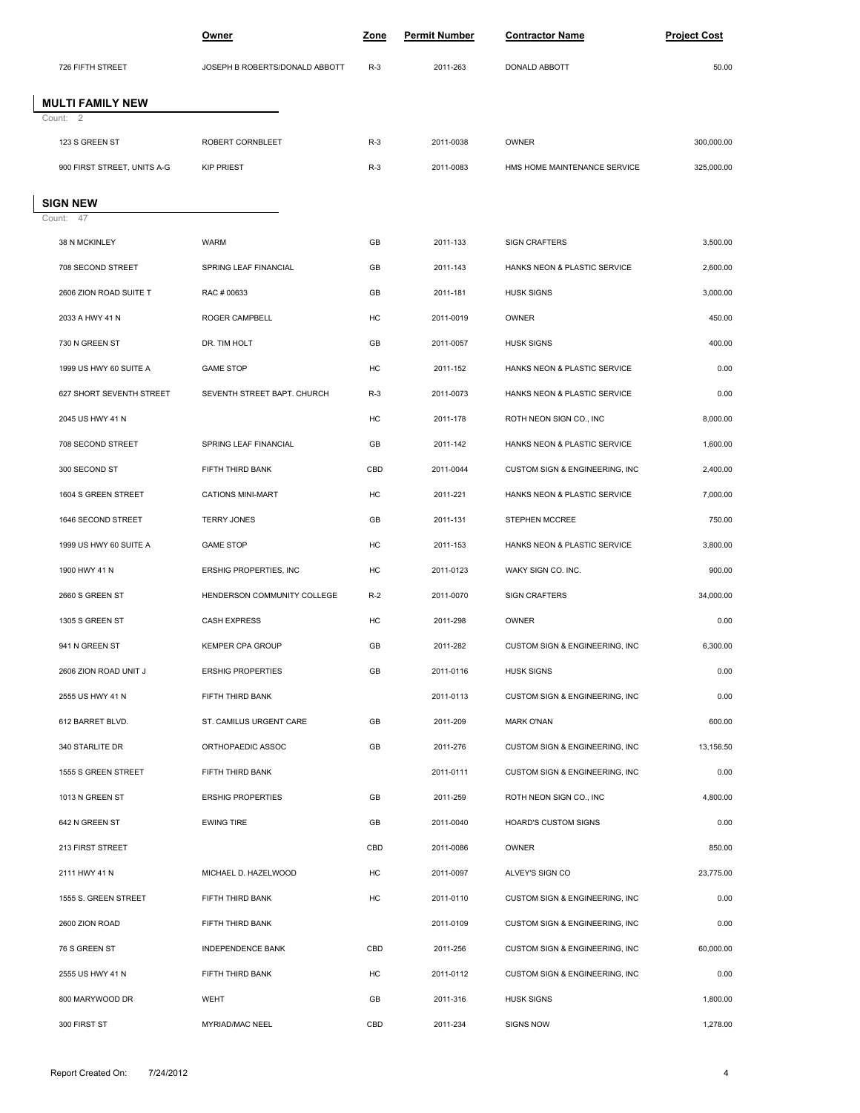|                             | <u>Owner</u>                   | Zone  | <b>Permit Number</b> | <b>Contractor Name</b>         | <b>Project Cost</b> |
|-----------------------------|--------------------------------|-------|----------------------|--------------------------------|---------------------|
| 726 FIFTH STREET            | JOSEPH B ROBERTS/DONALD ABBOTT | $R-3$ | 2011-263             | DONALD ABBOTT                  | 50.00               |
| <b>MULTI FAMILY NEW</b>     |                                |       |                      |                                |                     |
| Count: 2                    |                                |       |                      |                                |                     |
| 123 S GREEN ST              | ROBERT CORNBLEET               | $R-3$ | 2011-0038            | OWNER                          | 300,000.00          |
| 900 FIRST STREET, UNITS A-G | <b>KIP PRIEST</b>              | $R-3$ | 2011-0083            | HMS HOME MAINTENANCE SERVICE   | 325,000.00          |
| <b>SIGN NEW</b>             |                                |       |                      |                                |                     |
| Count: 47                   |                                |       |                      |                                |                     |
| 38 N MCKINLEY               | <b>WARM</b>                    | GB    | 2011-133             | <b>SIGN CRAFTERS</b>           | 3,500.00            |
| 708 SECOND STREET           | SPRING LEAF FINANCIAL          | GB    | 2011-143             | HANKS NEON & PLASTIC SERVICE   | 2,600.00            |
| 2606 ZION ROAD SUITE T      | RAC # 00633                    | GB    | 2011-181             | <b>HUSK SIGNS</b>              | 3,000.00            |
| 2033 A HWY 41 N             | ROGER CAMPBELL                 | HC    | 2011-0019            | OWNER                          | 450.00              |
| 730 N GREEN ST              | DR. TIM HOLT                   | GB    | 2011-0057            | <b>HUSK SIGNS</b>              | 400.00              |
| 1999 US HWY 60 SUITE A      | <b>GAME STOP</b>               | HC    | 2011-152             | HANKS NEON & PLASTIC SERVICE   | 0.00                |
| 627 SHORT SEVENTH STREET    | SEVENTH STREET BAPT. CHURCH    | $R-3$ | 2011-0073            | HANKS NEON & PLASTIC SERVICE   | 0.00                |
| 2045 US HWY 41 N            |                                | HC    | 2011-178             | ROTH NEON SIGN CO., INC        | 8,000.00            |
| 708 SECOND STREET           | SPRING LEAF FINANCIAL          | GB    | 2011-142             | HANKS NEON & PLASTIC SERVICE   | 1,600.00            |
| 300 SECOND ST               | FIFTH THIRD BANK               | CBD   | 2011-0044            | CUSTOM SIGN & ENGINEERING, INC | 2,400.00            |
| 1604 S GREEN STREET         | <b>CATIONS MINI-MART</b>       | HC    | 2011-221             | HANKS NEON & PLASTIC SERVICE   | 7,000.00            |
| 1646 SECOND STREET          | <b>TERRY JONES</b>             | GB    | 2011-131             | STEPHEN MCCREE                 | 750.00              |
| 1999 US HWY 60 SUITE A      | <b>GAME STOP</b>               | HC    | 2011-153             | HANKS NEON & PLASTIC SERVICE   | 3,800.00            |
| 1900 HWY 41 N               | ERSHIG PROPERTIES, INC         | HC    | 2011-0123            | WAKY SIGN CO. INC.             | 900.00              |
| 2660 S GREEN ST             | HENDERSON COMMUNITY COLLEGE    | $R-2$ | 2011-0070            | <b>SIGN CRAFTERS</b>           | 34,000.00           |
| 1305 S GREEN ST             | <b>CASH EXPRESS</b>            | HC    | 2011-298             | OWNER                          | 0.00                |
| 941 N GREEN ST              | <b>KEMPER CPA GROUP</b>        | GB    | 2011-282             | CUSTOM SIGN & ENGINEERING, INC | 6,300.00            |
| 2606 ZION ROAD UNIT J       | <b>ERSHIG PROPERTIES</b>       | GB    | 2011-0116            | <b>HUSK SIGNS</b>              | 0.00                |
| 2555 US HWY 41 N            | FIFTH THIRD BANK               |       | 2011-0113            | CUSTOM SIGN & ENGINEERING, INC | 0.00                |
| 612 BARRET BLVD.            | ST. CAMILUS URGENT CARE        | GB    | 2011-209             | <b>MARK O'NAN</b>              | 600.00              |
| 340 STARLITE DR             | ORTHOPAEDIC ASSOC              | GB    | 2011-276             | CUSTOM SIGN & ENGINEERING, INC | 13,156.50           |
| 1555 S GREEN STREET         | FIFTH THIRD BANK               |       | 2011-0111            | CUSTOM SIGN & ENGINEERING, INC | 0.00                |
| 1013 N GREEN ST             | <b>ERSHIG PROPERTIES</b>       | GB    | 2011-259             | ROTH NEON SIGN CO., INC        | 4,800.00            |
| 642 N GREEN ST              | <b>EWING TIRE</b>              | GB    | 2011-0040            | <b>HOARD'S CUSTOM SIGNS</b>    | 0.00                |
| 213 FIRST STREET            |                                | CBD   | 2011-0086            | OWNER                          | 850.00              |
| 2111 HWY 41 N               | MICHAEL D. HAZELWOOD           | HC    | 2011-0097            | ALVEY'S SIGN CO                | 23,775.00           |
| 1555 S. GREEN STREET        | FIFTH THIRD BANK               | HC    | 2011-0110            | CUSTOM SIGN & ENGINEERING, INC | 0.00                |
| 2600 ZION ROAD              | FIFTH THIRD BANK               |       | 2011-0109            | CUSTOM SIGN & ENGINEERING, INC | 0.00                |
| 76 S GREEN ST               | INDEPENDENCE BANK              | CBD   | 2011-256             | CUSTOM SIGN & ENGINEERING, INC | 60,000.00           |
| 2555 US HWY 41 N            | FIFTH THIRD BANK               | HC    | 2011-0112            | CUSTOM SIGN & ENGINEERING, INC | 0.00                |
| 800 MARYWOOD DR             | WEHT                           | GB    | 2011-316             | <b>HUSK SIGNS</b>              | 1,800.00            |
| 300 FIRST ST                | MYRIAD/MAC NEEL                | CBD   | 2011-234             | SIGNS NOW                      | 1,278.00            |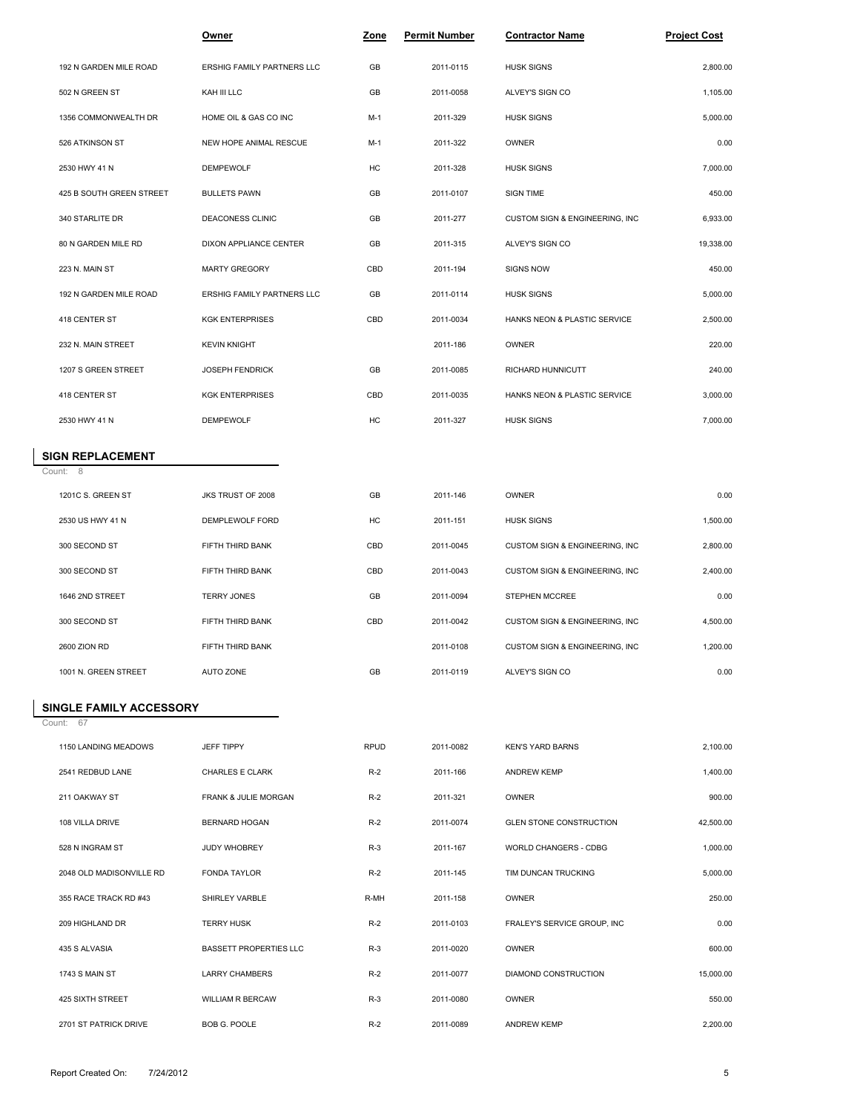|                          | <b>Owner</b>                  | Zone        | <b>Permit Number</b> | <b>Contractor Name</b>         | <b>Project Cost</b> |  |
|--------------------------|-------------------------------|-------------|----------------------|--------------------------------|---------------------|--|
| 192 N GARDEN MILE ROAD   | ERSHIG FAMILY PARTNERS LLC    | GB          | 2011-0115            | <b>HUSK SIGNS</b>              | 2,800.00            |  |
| 502 N GREEN ST           | KAH III LLC                   | GB          | 2011-0058            | ALVEY'S SIGN CO                | 1,105.00            |  |
| 1356 COMMONWEALTH DR     | HOME OIL & GAS CO INC         | $M-1$       | 2011-329             | <b>HUSK SIGNS</b>              | 5,000.00            |  |
| 526 ATKINSON ST          | NEW HOPE ANIMAL RESCUE        | $M-1$       | 2011-322             | OWNER                          | 0.00                |  |
| 2530 HWY 41 N            | <b>DEMPEWOLF</b>              | HC          | 2011-328             | <b>HUSK SIGNS</b>              | 7,000.00            |  |
| 425 B SOUTH GREEN STREET | <b>BULLETS PAWN</b>           | GB          | 2011-0107            | SIGN TIME                      | 450.00              |  |
| 340 STARLITE DR          | DEACONESS CLINIC              | GB          | 2011-277             | CUSTOM SIGN & ENGINEERING, INC | 6,933.00            |  |
| 80 N GARDEN MILE RD      | DIXON APPLIANCE CENTER        | GB          | 2011-315             | ALVEY'S SIGN CO                | 19,338.00           |  |
| 223 N. MAIN ST           | <b>MARTY GREGORY</b>          | CBD         | 2011-194             | <b>SIGNS NOW</b>               | 450.00              |  |
| 192 N GARDEN MILE ROAD   | ERSHIG FAMILY PARTNERS LLC    | GB          | 2011-0114            | <b>HUSK SIGNS</b>              | 5,000.00            |  |
| 418 CENTER ST            | <b>KGK ENTERPRISES</b>        | CBD         | 2011-0034            | HANKS NEON & PLASTIC SERVICE   | 2,500.00            |  |
| 232 N. MAIN STREET       | <b>KEVIN KNIGHT</b>           |             | 2011-186             | OWNER                          | 220.00              |  |
| 1207 S GREEN STREET      | <b>JOSEPH FENDRICK</b>        | GB          | 2011-0085            | RICHARD HUNNICUTT              | 240.00              |  |
| 418 CENTER ST            | <b>KGK ENTERPRISES</b>        | CBD         | 2011-0035            | HANKS NEON & PLASTIC SERVICE   | 3,000.00            |  |
| 2530 HWY 41 N            | <b>DEMPEWOLF</b>              | HC          | 2011-327             | <b>HUSK SIGNS</b>              | 7,000.00            |  |
| <b>SIGN REPLACEMENT</b>  |                               |             |                      |                                |                     |  |
| Count: 8                 |                               |             |                      |                                |                     |  |
| 1201C S. GREEN ST        | JKS TRUST OF 2008             | GB          | 2011-146             | OWNER                          | 0.00                |  |
| 2530 US HWY 41 N         | DEMPLEWOLF FORD               | HC          | 2011-151             | <b>HUSK SIGNS</b>              | 1,500.00            |  |
| 300 SECOND ST            | FIFTH THIRD BANK              | CBD         | 2011-0045            | CUSTOM SIGN & ENGINEERING, INC | 2,800.00            |  |
| 300 SECOND ST            | FIFTH THIRD BANK              | CBD         | 2011-0043            | CUSTOM SIGN & ENGINEERING, INC | 2,400.00            |  |
| 1646 2ND STREET          | <b>TERRY JONES</b>            | GB          | 2011-0094            | STEPHEN MCCREE                 | 0.00                |  |
| 300 SECOND ST            | FIFTH THIRD BANK              | CBD         | 2011-0042            | CUSTOM SIGN & ENGINEERING, INC | 4,500.00            |  |
| 2600 ZION RD             | FIFTH THIRD BANK              |             | 2011-0108            | CUSTOM SIGN & ENGINEERING, INC | 1,200.00            |  |
| 1001 N. GREEN STREET     | <b>AUTO ZONE</b>              | GB          | 2011-0119            | ALVEY'S SIGN CO                | 0.00                |  |
| SINGLE FAMILY ACCESSORY  |                               |             |                      |                                |                     |  |
| Count: 67                |                               |             |                      |                                |                     |  |
| 1150 LANDING MEADOWS     | JEFF TIPPY                    | <b>RPUD</b> | 2011-0082            | <b>KEN'S YARD BARNS</b>        | 2,100.00            |  |
| 2541 REDBUD LANE         | CHARLES E CLARK               | $R-2$       | 2011-166             | <b>ANDREW KEMP</b>             | 1,400.00            |  |
| 211 OAKWAY ST            | FRANK & JULIE MORGAN          | $R-2$       | 2011-321             | OWNER                          | 900.00              |  |
| 108 VILLA DRIVE          | BERNARD HOGAN                 | $R-2$       | 2011-0074            | <b>GLEN STONE CONSTRUCTION</b> | 42,500.00           |  |
| 528 N INGRAM ST          | JUDY WHOBREY                  | $R-3$       | 2011-167             | WORLD CHANGERS - CDBG          | 1,000.00            |  |
| 2048 OLD MADISONVILLE RD | FONDA TAYLOR                  | $R-2$       | 2011-145             | TIM DUNCAN TRUCKING            | 5,000.00            |  |
| 355 RACE TRACK RD #43    | SHIRLEY VARBLE                | R-MH        | 2011-158             | OWNER                          | 250.00              |  |
| 209 HIGHLAND DR          | <b>TERRY HUSK</b>             | $R-2$       | 2011-0103            | FRALEY'S SERVICE GROUP, INC    | 0.00                |  |
| 435 S ALVASIA            | <b>BASSETT PROPERTIES LLC</b> | $R-3$       | 2011-0020            | OWNER                          | 600.00              |  |
| 1743 S MAIN ST           | <b>LARRY CHAMBERS</b>         | $R-2$       | 2011-0077            | DIAMOND CONSTRUCTION           | 15,000.00           |  |
| 425 SIXTH STREET         | WILLIAM R BERCAW              | $R-3$       | 2011-0080            | OWNER                          | 550.00              |  |
| 2701 ST PATRICK DRIVE    | BOB G. POOLE                  | $R-2$       | 2011-0089            | <b>ANDREW KEMP</b>             | 2,200.00            |  |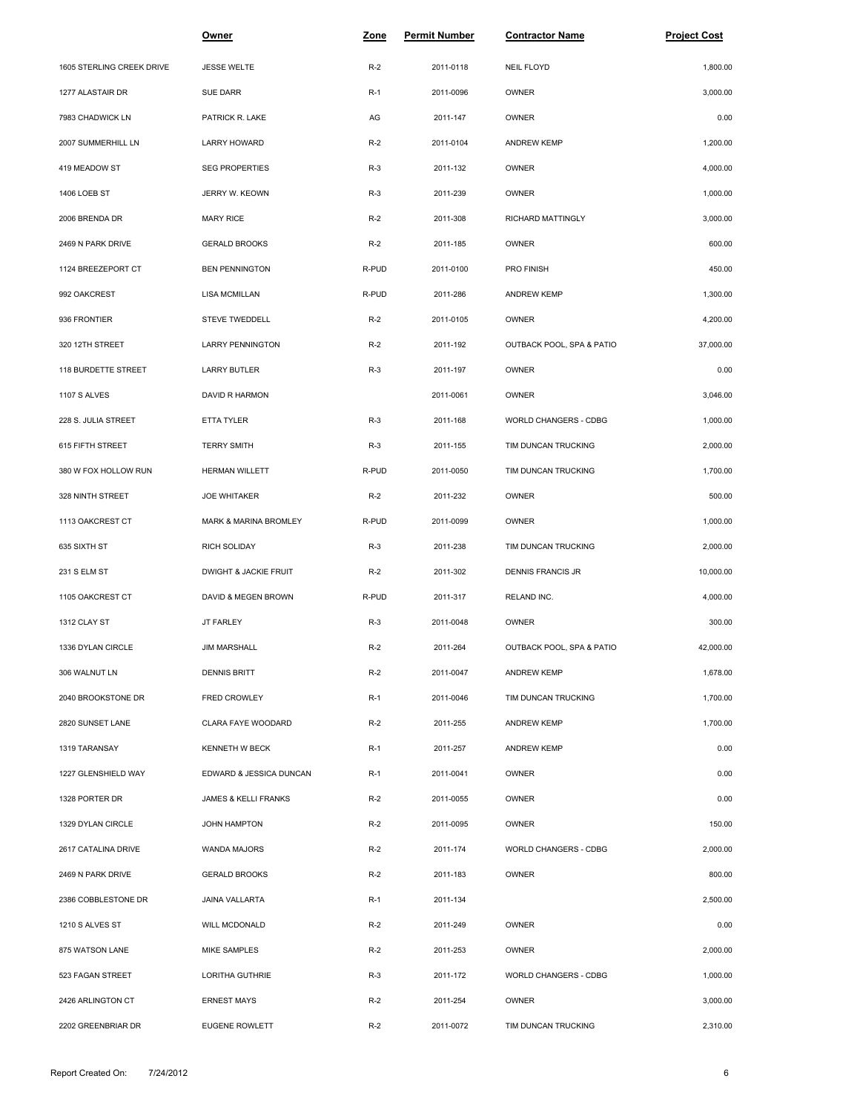|                           | <u>Owner</u>            | <b>Zone</b> | <u>Permit Number</u> | <b>Contractor Name</b>    | <b>Project Cost</b> |  |
|---------------------------|-------------------------|-------------|----------------------|---------------------------|---------------------|--|
| 1605 STERLING CREEK DRIVE | <b>JESSE WELTE</b>      | $R-2$       | 2011-0118            | <b>NEIL FLOYD</b>         | 1,800.00            |  |
| 1277 ALASTAIR DR          | SUE DARR                | $R-1$       | 2011-0096            | OWNER                     | 3,000.00            |  |
| 7983 CHADWICK LN          | PATRICK R. LAKE         | AG          | 2011-147             | <b>OWNER</b>              | 0.00                |  |
| 2007 SUMMERHILL LN        | LARRY HOWARD            | $R-2$       | 2011-0104            | <b>ANDREW KEMP</b>        | 1,200.00            |  |
| 419 MEADOW ST             | <b>SEG PROPERTIES</b>   | $R-3$       | 2011-132             | OWNER                     | 4,000.00            |  |
| 1406 LOEB ST              | JERRY W. KEOWN          | $R-3$       | 2011-239             | <b>OWNER</b>              | 1,000.00            |  |
| 2006 BRENDA DR            | <b>MARY RICE</b>        | $R-2$       | 2011-308             | RICHARD MATTINGLY         | 3,000.00            |  |
| 2469 N PARK DRIVE         | <b>GERALD BROOKS</b>    | $R-2$       | 2011-185             | <b>OWNER</b>              | 600.00              |  |
| 1124 BREEZEPORT CT        | <b>BEN PENNINGTON</b>   | R-PUD       | 2011-0100            | PRO FINISH                | 450.00              |  |
| 992 OAKCREST              | LISA MCMILLAN           | R-PUD       | 2011-286             | <b>ANDREW KEMP</b>        | 1,300.00            |  |
| 936 FRONTIER              | STEVE TWEDDELL          | $R-2$       | 2011-0105            | OWNER                     | 4,200.00            |  |
| 320 12TH STREET           | <b>LARRY PENNINGTON</b> | $R-2$       | 2011-192             | OUTBACK POOL, SPA & PATIO | 37,000.00           |  |
| 118 BURDETTE STREET       | LARRY BUTLER            | $R-3$       | 2011-197             | OWNER                     | 0.00                |  |
| 1107 S ALVES              | DAVID R HARMON          |             | 2011-0061            | OWNER                     | 3,046.00            |  |
| 228 S. JULIA STREET       | ETTA TYLER              | $R-3$       | 2011-168             | WORLD CHANGERS - CDBG     | 1,000.00            |  |
| 615 FIFTH STREET          | <b>TERRY SMITH</b>      | $R-3$       | 2011-155             | TIM DUNCAN TRUCKING       | 2,000.00            |  |
| 380 W FOX HOLLOW RUN      | <b>HERMAN WILLETT</b>   | R-PUD       | 2011-0050            | TIM DUNCAN TRUCKING       | 1,700.00            |  |
| 328 NINTH STREET          | <b>JOE WHITAKER</b>     | $R-2$       | 2011-232             | OWNER                     | 500.00              |  |
| 1113 OAKCREST CT          | MARK & MARINA BROMLEY   | R-PUD       | 2011-0099            | OWNER                     | 1,000.00            |  |
| 635 SIXTH ST              | RICH SOLIDAY            | $R-3$       | 2011-238             | TIM DUNCAN TRUCKING       | 2,000.00            |  |
| 231 S ELM ST              | DWIGHT & JACKIE FRUIT   | $R-2$       | 2011-302             | DENNIS FRANCIS JR         | 10,000.00           |  |
| 1105 OAKCREST CT          | DAVID & MEGEN BROWN     | R-PUD       | 2011-317             | RELAND INC.               | 4,000.00            |  |
| 1312 CLAY ST              | JT FARLEY               | $R-3$       | 2011-0048            | OWNER                     | 300.00              |  |
| 1336 DYLAN CIRCLE         | <b>JIM MARSHALL</b>     | $R-2$       | 2011-264             | OUTBACK POOL, SPA & PATIO | 42,000.00           |  |
| 306 WALNUT LN             | DENNIS BRITT            | $R-2$       | 2011-0047            | <b>ANDREW KEMP</b>        | 1,678.00            |  |
| 2040 BROOKSTONE DR        | FRED CROWLEY            | $R-1$       | 2011-0046            | TIM DUNCAN TRUCKING       | 1,700.00            |  |
| 2820 SUNSET LANE          | CLARA FAYE WOODARD      | $R-2$       | 2011-255             | <b>ANDREW KEMP</b>        | 1,700.00            |  |
| 1319 TARANSAY             | <b>KENNETH W BECK</b>   | $R-1$       | 2011-257             | ANDREW KEMP               | 0.00                |  |
| 1227 GLENSHIELD WAY       | EDWARD & JESSICA DUNCAN | $R-1$       | 2011-0041            | OWNER                     | 0.00                |  |
| 1328 PORTER DR            | JAMES & KELLI FRANKS    | $R-2$       | 2011-0055            | OWNER                     | 0.00                |  |
| 1329 DYLAN CIRCLE         | JOHN HAMPTON            | $R-2$       | 2011-0095            | OWNER                     | 150.00              |  |
| 2617 CATALINA DRIVE       | WANDA MAJORS            | $R-2$       | 2011-174             | WORLD CHANGERS - CDBG     | 2,000.00            |  |
| 2469 N PARK DRIVE         | <b>GERALD BROOKS</b>    | $R-2$       | 2011-183             | OWNER                     | 800.00              |  |
| 2386 COBBLESTONE DR       | JAINA VALLARTA          | $R-1$       | 2011-134             |                           | 2,500.00            |  |
| 1210 S ALVES ST           | <b>WILL MCDONALD</b>    | $R-2$       | 2011-249             | OWNER                     | 0.00                |  |
| 875 WATSON LANE           | MIKE SAMPLES            | $R-2$       | 2011-253             | OWNER                     | 2,000.00            |  |
| 523 FAGAN STREET          | LORITHA GUTHRIE         | $R-3$       | 2011-172             | WORLD CHANGERS - CDBG     | 1,000.00            |  |
| 2426 ARLINGTON CT         | <b>ERNEST MAYS</b>      | $R-2$       | 2011-254             | OWNER                     | 3,000.00            |  |
| 2202 GREENBRIAR DR        | <b>EUGENE ROWLETT</b>   | $R-2$       | 2011-0072            | TIM DUNCAN TRUCKING       | 2,310.00            |  |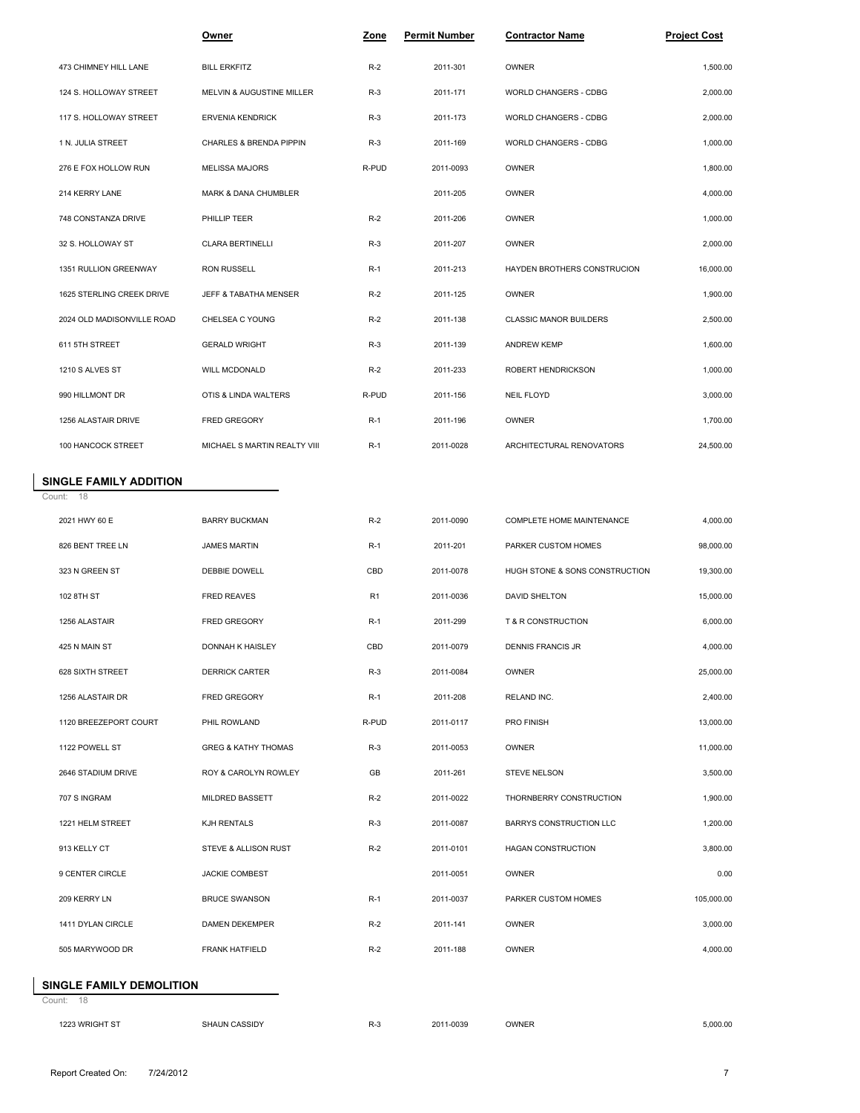|                            | Owner                                | Zone  | <b>Permit Number</b> | <b>Contractor Name</b>             | <b>Project Cost</b> |
|----------------------------|--------------------------------------|-------|----------------------|------------------------------------|---------------------|
| 473 CHIMNEY HILL LANE      | <b>BILL ERKFITZ</b>                  | $R-2$ | 2011-301             | <b>OWNER</b>                       | 1,500.00            |
| 124 S. HOLLOWAY STREET     | <b>MELVIN &amp; AUGUSTINE MILLER</b> | $R-3$ | 2011-171             | WORLD CHANGERS - CDBG              | 2,000.00            |
| 117 S. HOLLOWAY STREET     | <b>ERVENIA KENDRICK</b>              | $R-3$ | 2011-173             | WORLD CHANGERS - CDBG              | 2,000.00            |
| 1 N. JULIA STREET          | CHARLES & BRENDA PIPPIN              | $R-3$ | 2011-169             | WORLD CHANGERS - CDBG              | 1,000.00            |
| 276 E FOX HOLLOW RUN       | <b>MELISSA MAJORS</b>                | R-PUD | 2011-0093            | OWNER                              | 1,800.00            |
| 214 KERRY LANE             | <b>MARK &amp; DANA CHUMBLER</b>      |       | 2011-205             | <b>OWNER</b>                       | 4,000.00            |
| 748 CONSTANZA DRIVE        | PHILLIP TEER                         | $R-2$ | 2011-206             | <b>OWNER</b>                       | 1,000.00            |
| 32 S. HOLLOWAY ST          | <b>CLARA BERTINELLI</b>              | $R-3$ | 2011-207             | OWNER                              | 2,000.00            |
| 1351 RULLION GREENWAY      | <b>RON RUSSELL</b>                   | $R-1$ | 2011-213             | <b>HAYDEN BROTHERS CONSTRUCION</b> | 16,000.00           |
| 1625 STERLING CREEK DRIVE  | <b>JEFF &amp; TABATHA MENSER</b>     | $R-2$ | 2011-125             | OWNER                              | 1,900.00            |
| 2024 OLD MADISONVILLE ROAD | CHELSEA C YOUNG                      | $R-2$ | 2011-138             | <b>CLASSIC MANOR BUILDERS</b>      | 2,500.00            |
| 611 5TH STREET             | <b>GERALD WRIGHT</b>                 | $R-3$ | 2011-139             | <b>ANDREW KEMP</b>                 | 1.600.00            |
| 1210 S ALVES ST            | WILL MCDONALD                        | $R-2$ | 2011-233             | ROBERT HENDRICKSON                 | 1,000.00            |
| 990 HILLMONT DR            | OTIS & LINDA WALTERS                 | R-PUD | 2011-156             | <b>NEIL FLOYD</b>                  | 3,000.00            |
| 1256 ALASTAIR DRIVE        | FRED GREGORY                         | $R-1$ | 2011-196             | OWNER                              | 1,700.00            |
| 100 HANCOCK STREET         | MICHAEL S MARTIN REALTY VIII         | $R-1$ | 2011-0028            | ARCHITECTURAL RENOVATORS           | 24,500.00           |

## Count: 18 **SINGLE FAMILY ADDITION**

| 2021 HWY 60 E         | <b>BARRY BUCKMAN</b>           | $R-2$          | 2011-0090 | COMPLETE HOME MAINTENANCE      | 4,000.00   |
|-----------------------|--------------------------------|----------------|-----------|--------------------------------|------------|
| 826 BENT TREE LN      | <b>JAMES MARTIN</b>            | $R-1$          | 2011-201  | PARKER CUSTOM HOMES            | 98,000.00  |
| 323 N GREEN ST        | DEBBIE DOWELL                  | CBD            | 2011-0078 | HUGH STONE & SONS CONSTRUCTION | 19,300.00  |
| 102 8TH ST            | <b>FRED REAVES</b>             | R <sub>1</sub> | 2011-0036 | DAVID SHELTON                  | 15,000.00  |
| 1256 ALASTAIR         | <b>FRED GREGORY</b>            | $R-1$          | 2011-299  | T & R CONSTRUCTION             | 6,000.00   |
| 425 N MAIN ST         | DONNAH K HAISLEY               | CBD            | 2011-0079 | DENNIS FRANCIS JR              | 4,000.00   |
| 628 SIXTH STREET      | <b>DERRICK CARTER</b>          | $R-3$          | 2011-0084 | OWNER                          | 25,000.00  |
| 1256 ALASTAIR DR      | <b>FRED GREGORY</b>            | $R-1$          | 2011-208  | RELAND INC.                    | 2,400.00   |
| 1120 BREEZEPORT COURT | PHIL ROWLAND                   | R-PUD          | 2011-0117 | <b>PRO FINISH</b>              | 13,000.00  |
| 1122 POWELL ST        | <b>GREG &amp; KATHY THOMAS</b> | $R-3$          | 2011-0053 | OWNER                          | 11,000.00  |
| 2646 STADIUM DRIVE    | ROY & CAROLYN ROWLEY           | GB             | 2011-261  | <b>STEVE NELSON</b>            | 3,500.00   |
| 707 S INGRAM          | MILDRED BASSETT                | $R-2$          | 2011-0022 | THORNBERRY CONSTRUCTION        | 1,900.00   |
| 1221 HELM STREET      | KJH RENTALS                    | $R-3$          | 2011-0087 | BARRYS CONSTRUCTION LLC        | 1,200.00   |
| 913 KELLY CT          | STEVE & ALLISON RUST           | $R-2$          | 2011-0101 | <b>HAGAN CONSTRUCTION</b>      | 3,800.00   |
| 9 CENTER CIRCLE       | <b>JACKIE COMBEST</b>          |                | 2011-0051 | OWNER                          | 0.00       |
| 209 KERRY LN          | <b>BRUCE SWANSON</b>           | $R-1$          | 2011-0037 | PARKER CUSTOM HOMES            | 105,000.00 |
| 1411 DYLAN CIRCLE     | <b>DAMEN DEKEMPER</b>          | $R-2$          | 2011-141  | OWNER                          | 3,000.00   |
| 505 MARYWOOD DR       | <b>FRANK HATFIELD</b>          | $R-2$          | 2011-188  | OWNER                          | 4,000.00   |
|                       |                                |                |           |                                |            |

## **SINGLE FAMILY DEMOLITION**

Count: 18

| 1223 WRIGHT ST | <b>SHAUN CASSIDY</b> | $R-3$ | 2011-0039 | OWNER | 5,000.00 |
|----------------|----------------------|-------|-----------|-------|----------|
|                |                      |       |           |       |          |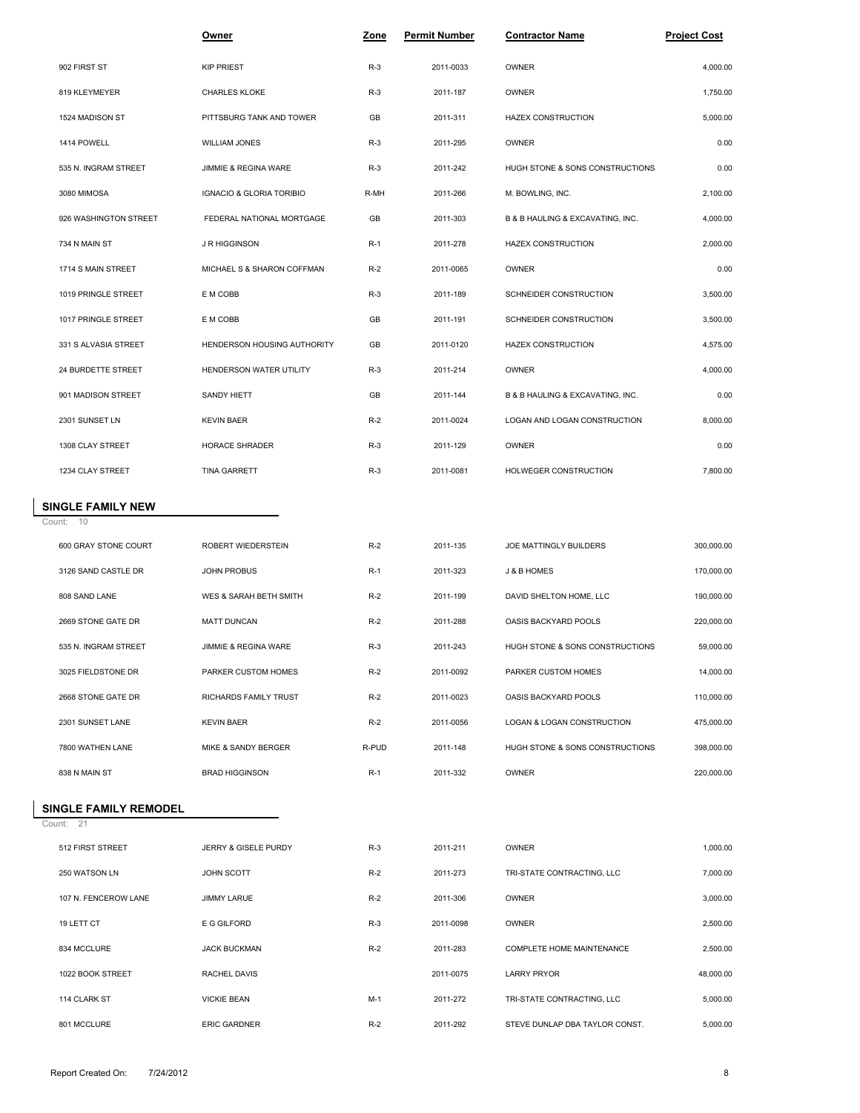|                          | Owner                       | Zone  | <b>Permit Number</b> | <b>Contractor Name</b>           | <b>Project Cost</b> |  |
|--------------------------|-----------------------------|-------|----------------------|----------------------------------|---------------------|--|
| 902 FIRST ST             | <b>KIP PRIEST</b>           | $R-3$ | 2011-0033            | OWNER                            | 4,000.00            |  |
| 819 KLEYMEYER            | <b>CHARLES KLOKE</b>        | $R-3$ | 2011-187             | OWNER                            | 1,750.00            |  |
| 1524 MADISON ST          | PITTSBURG TANK AND TOWER    | GB    | 2011-311             | <b>HAZEX CONSTRUCTION</b>        | 5,000.00            |  |
| 1414 POWELL              | <b>WILLIAM JONES</b>        | $R-3$ | 2011-295             | OWNER                            | 0.00                |  |
| 535 N. INGRAM STREET     | JIMMIE & REGINA WARE        | $R-3$ | 2011-242             | HUGH STONE & SONS CONSTRUCTIONS  | 0.00                |  |
| 3080 MIMOSA              | IGNACIO & GLORIA TORIBIO    | R-MH  | 2011-266             | M. BOWLING, INC.                 | 2,100.00            |  |
| 926 WASHINGTON STREET    | FEDERAL NATIONAL MORTGAGE   | GB    | 2011-303             | B & B HAULING & EXCAVATING, INC. | 4,000.00            |  |
| 734 N MAIN ST            | <b>J R HIGGINSON</b>        | $R-1$ | 2011-278             | <b>HAZEX CONSTRUCTION</b>        | 2,000.00            |  |
| 1714 S MAIN STREET       | MICHAEL S & SHARON COFFMAN  | $R-2$ | 2011-0065            | OWNER                            | 0.00                |  |
| 1019 PRINGLE STREET      | E M COBB                    | $R-3$ | 2011-189             | SCHNEIDER CONSTRUCTION           | 3,500.00            |  |
| 1017 PRINGLE STREET      | E M COBB                    | GB    | 2011-191             | SCHNEIDER CONSTRUCTION           | 3,500.00            |  |
| 331 S ALVASIA STREET     | HENDERSON HOUSING AUTHORITY | GB    | 2011-0120            | <b>HAZEX CONSTRUCTION</b>        | 4,575.00            |  |
| 24 BURDETTE STREET       | HENDERSON WATER UTILITY     | $R-3$ | 2011-214             | OWNER                            | 4,000.00            |  |
| 901 MADISON STREET       | SANDY HIETT                 | GB    | 2011-144             | B & B HAULING & EXCAVATING, INC. | 0.00                |  |
| 2301 SUNSET LN           | <b>KEVIN BAER</b>           | $R-2$ | 2011-0024            | LOGAN AND LOGAN CONSTRUCTION     | 8,000.00            |  |
| 1308 CLAY STREET         | HORACE SHRADER              | $R-3$ | 2011-129             | OWNER                            | 0.00                |  |
| 1234 CLAY STREET         | <b>TINA GARRETT</b>         | $R-3$ | 2011-0081            | HOLWEGER CONSTRUCTION            | 7,800.00            |  |
| <b>SINGLE FAMILY NEW</b> |                             |       |                      |                                  |                     |  |
| Count: 10                |                             |       |                      |                                  |                     |  |
| 600 GRAY STONE COURT     | ROBERT WIEDERSTEIN          | $R-2$ | 2011-135             | JOE MATTINGLY BUILDERS           | 300,000.00          |  |
| 3126 SAND CASTLE DR      | <b>JOHN PROBUS</b>          | $R-1$ | 2011-323             | J & B HOMES                      | 170,000.00          |  |
| 808 SAND LANE            | WES & SARAH BETH SMITH      | $R-2$ | 2011-199             | DAVID SHELTON HOME, LLC          | 190,000.00          |  |
| 2669 STONE GATE DR       | <b>MATT DUNCAN</b>          | $R-2$ | 2011-288             | OASIS BACKYARD POOLS             | 220,000.00          |  |
| 535 N. INGRAM STREET     | JIMMIE & REGINA WARE        | $R-3$ | 2011-243             | HUGH STONE & SONS CONSTRUCTIONS  | 59,000.00           |  |
| 3025 FIELDSTONE DR       | PARKER CUSTOM HOMES         | $R-2$ | 2011-0092            | PARKER CUSTOM HOMES              | 14,000.00           |  |
| 2668 STONE GATE DR       | RICHARDS FAMILY TRUST       | $R-2$ | 2011-0023            | OASIS BACKYARD POOLS             | 110,000.00          |  |
| 2301 SUNSET LANE         | <b>KEVIN BAER</b>           | $R-2$ | 2011-0056            | LOGAN & LOGAN CONSTRUCTION       | 475,000.00          |  |
| 7800 WATHEN LANE         | MIKE & SANDY BERGER         | R-PUD | 2011-148             | HUGH STONE & SONS CONSTRUCTIONS  | 398,000.00          |  |
| 838 N MAIN ST            | <b>BRAD HIGGINSON</b>       | $R-1$ | 2011-332             | OWNER                            | 220,000.00          |  |
| SINGLE FAMILY REMODEL    |                             |       |                      |                                  |                     |  |
| Count: 21                |                             |       |                      |                                  |                     |  |
| 512 FIRST STREET         | JERRY & GISELE PURDY        | $R-3$ | 2011-211             | OWNER                            | 1,000.00            |  |
| 250 WATSON LN            | JOHN SCOTT                  | $R-2$ | 2011-273             | TRI-STATE CONTRACTING, LLC       | 7,000.00            |  |
| 107 N. FENCEROW LANE     | <b>JIMMY LARUE</b>          | $R-2$ | 2011-306             | OWNER                            | 3,000.00            |  |

19 LETT CT E G GILFORD R-3 2011-0098 OWNER 2,500.00

1022 BOOK STREET RACHEL DAVIS 2011-0075 LARRY PRYOR 48,000.00

834 MCCLURE JACK BUCKMAN R-2 2011-283 COMPLETE HOME MAINTENANCE 2,500.00

114 CLARK ST VICKIE BEAN M-1 2011-272 TRI-STATE CONTRACTING, LLC 5,000.00 801 MCCLURE ERIC GARDNER R-2 2011-292 STEVE DUNLAP DBA TAYLOR CONST. 5,000.00